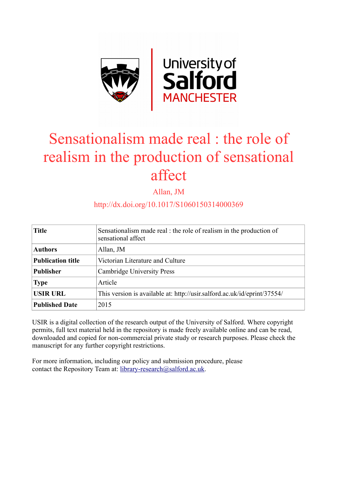

# Sensationalism made real : the role of realism in the production of sensational affect

Allan, JM

## http://dx.doi.org/10.1017/S1060150314000369

| <b>Title</b>             | Sensationalism made real : the role of realism in the production of<br>sensational affect |
|--------------------------|-------------------------------------------------------------------------------------------|
| <b>Authors</b>           | Allan, JM                                                                                 |
| <b>Publication title</b> | Victorian Literature and Culture                                                          |
| <b>Publisher</b>         | <b>Cambridge University Press</b>                                                         |
| <b>Type</b>              | Article                                                                                   |
| <b>USIR URL</b>          | This version is available at: http://usir.salford.ac.uk/id/eprint/37554/                  |
| <b>Published Date</b>    | 2015                                                                                      |

USIR is a digital collection of the research output of the University of Salford. Where copyright permits, full text material held in the repository is made freely available online and can be read, downloaded and copied for non-commercial private study or research purposes. Please check the manuscript for any further copyright restrictions.

For more information, including our policy and submission procedure, please contact the Repository Team at: [library-research@salford.ac.uk.](mailto:library-research@salford.ac.uk)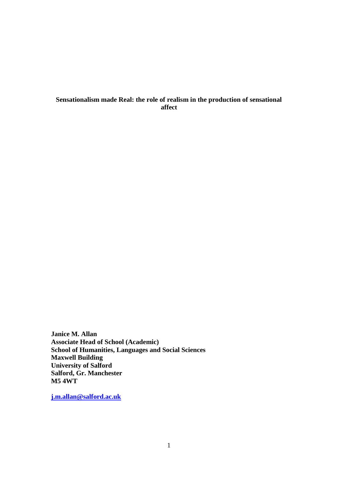### **Sensationalism made Real: the role of realism in the production of sensational affect**

**Janice M. Allan Associate Head of School (Academic) School of Humanities, Languages and Social Sciences Maxwell Building University of Salford Salford, Gr. Manchester M5 4WT**

**[j.m.allan@salford.ac.uk](mailto:j.m.allan@salford.ac.uk)**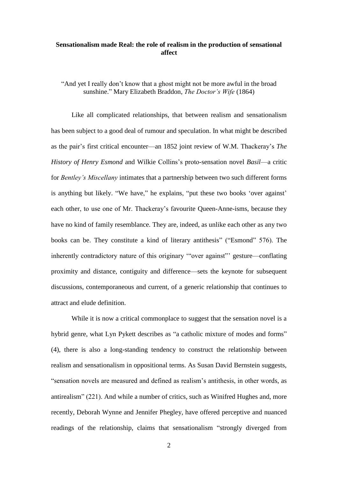#### **Sensationalism made Real: the role of realism in the production of sensational affect**

"And yet I really don't know that a ghost might not be more awful in the broad sunshine." Mary Elizabeth Braddon, *The Doctor's Wife* (1864)

Like all complicated relationships, that between realism and sensationalism has been subject to a good deal of rumour and speculation. In what might be described as the pair's first critical encounter—an 1852 joint review of W.M. Thackeray's *The History of Henry Esmond* and Wilkie Collins's proto-sensation novel *Basil*—a critic for *Bentley's Miscellany* intimates that a partnership between two such different forms is anything but likely. "We have," he explains, "put these two books 'over against' each other, to use one of Mr. Thackeray's favourite Queen-Anne-isms, because they have no kind of family resemblance. They are, indeed, as unlike each other as any two books can be. They constitute a kind of literary antithesis" ("Esmond" 576). The inherently contradictory nature of this originary '"over against"' gesture—conflating proximity and distance, contiguity and difference—sets the keynote for subsequent discussions, contemporaneous and current, of a generic relationship that continues to attract and elude definition.

While it is now a critical commonplace to suggest that the sensation novel is a hybrid genre, what Lyn Pykett describes as "a catholic mixture of modes and forms" (4), there is also a long-standing tendency to construct the relationship between realism and sensationalism in oppositional terms. As Susan David Bernstein suggests, "sensation novels are measured and defined as realism's antithesis, in other words, as antirealism" (221). And while a number of critics, such as Winifred Hughes and, more recently, Deborah Wynne and Jennifer Phegley, have offered perceptive and nuanced readings of the relationship, claims that sensationalism "strongly diverged from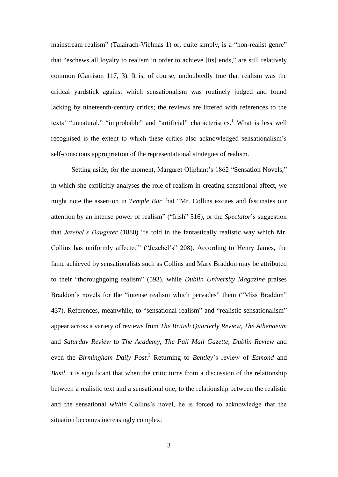mainstream realism" (Talairach-Vielmas 1) or, quite simply, is a "non-realist genre" that "eschews all loyalty to realism in order to achieve [its] ends," are still relatively common (Garrison 117, 3). It is, of course, undoubtedly true that realism was the critical yardstick against which sensationalism was routinely judged and found lacking by nineteenth-century critics; the reviews are littered with references to the texts' "unnatural," "improbable" and "artificial" characteristics.<sup>1</sup> What is less well recognised is the extent to which these critics also acknowledged sensationalism's self-conscious appropriation of the representational strategies of realism.

Setting aside, for the moment, Margaret Oliphant's 1862 "Sensation Novels," in which she explicitly analyses the role of realism in creating sensational affect, we might note the assertion in *Temple Bar* that "Mr. Collins excites and fascinates our attention by an intense power of realism" ("Irish" 516), or the *Spectator*'s suggestion that *Jezebel's Daughter* (1880) "is told in the fantastically realistic way which Mr. Collins has uniformly affected" ("Jezebel's" 208). According to Henry James, the fame achieved by sensationalists such as Collins and Mary Braddon may be attributed to their "thoroughgoing realism" (593), while *Dublin University Magazine* praises Braddon's novels for the "intense realism which pervades" them ("Miss Braddon" 437). References, meanwhile, to "sensational realism" and "realistic sensationalism" appear across a variety of reviews from *The British Quarterly Review*, *The Athenaeum* and *Saturday Review* to *The Academy*, *The Pall Mall Gazette*, *Dublin Review* and even the *Birmingham Daily Post*. <sup>2</sup> Returning to *Bentley*'s review of *Esmond* and *Basil*, it is significant that when the critic turns from a discussion of the relationship between a realistic text and a sensational one, to the relationship between the realistic and the sensational *within* Collins's novel, he is forced to acknowledge that the situation becomes increasingly complex: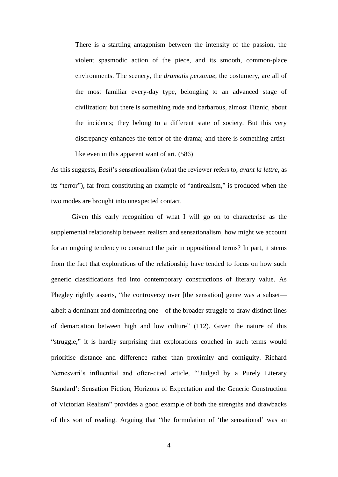There is a startling antagonism between the intensity of the passion, the violent spasmodic action of the piece, and its smooth, common-place environments. The scenery, the *dramatis personae*, the costumery, are all of the most familiar every-day type, belonging to an advanced stage of civilization; but there is something rude and barbarous, almost Titanic, about the incidents; they belong to a different state of society. But this very discrepancy enhances the terror of the drama; and there is something artistlike even in this apparent want of art. (586)

As this suggests, *Basil*'s sensationalism (what the reviewer refers to, *avant la lettre*, as its "terror"), far from constituting an example of "antirealism," is produced when the two modes are brought into unexpected contact.

Given this early recognition of what I will go on to characterise as the supplemental relationship between realism and sensationalism, how might we account for an ongoing tendency to construct the pair in oppositional terms? In part, it stems from the fact that explorations of the relationship have tended to focus on how such generic classifications fed into contemporary constructions of literary value. As Phegley rightly asserts, "the controversy over [the sensation] genre was a subset albeit a dominant and domineering one—of the broader struggle to draw distinct lines of demarcation between high and low culture" (112). Given the nature of this "struggle," it is hardly surprising that explorations couched in such terms would prioritise distance and difference rather than proximity and contiguity. Richard Nemesvari's influential and often-cited article, "'Judged by a Purely Literary Standard': Sensation Fiction, Horizons of Expectation and the Generic Construction of Victorian Realism" provides a good example of both the strengths and drawbacks of this sort of reading. Arguing that "the formulation of 'the sensational' was an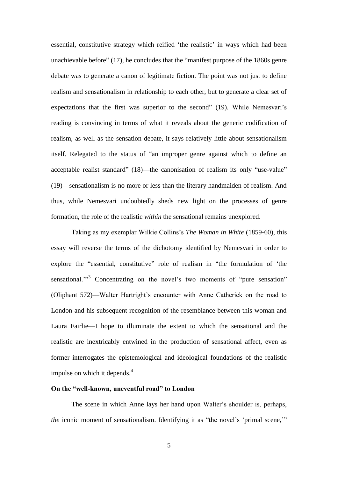essential, constitutive strategy which reified 'the realistic' in ways which had been unachievable before" (17), he concludes that the "manifest purpose of the 1860s genre debate was to generate a canon of legitimate fiction. The point was not just to define realism and sensationalism in relationship to each other, but to generate a clear set of expectations that the first was superior to the second" (19). While Nemesvari's reading is convincing in terms of what it reveals about the generic codification of realism, as well as the sensation debate, it says relatively little about sensationalism itself. Relegated to the status of "an improper genre against which to define an acceptable realist standard" (18)—the canonisation of realism its only "use-value" (19)—sensationalism is no more or less than the literary handmaiden of realism. And thus, while Nemesvari undoubtedly sheds new light on the processes of genre formation, the role of the realistic *within* the sensational remains unexplored.

Taking as my exemplar Wilkie Collins's *The Woman in White* (1859-60), this essay will reverse the terms of the dichotomy identified by Nemesvari in order to explore the "essential, constitutive" role of realism in "the formulation of 'the sensational.<sup>"3</sup> Concentrating on the novel's two moments of "pure sensation" (Oliphant 572)—Walter Hartright's encounter with Anne Catherick on the road to London and his subsequent recognition of the resemblance between this woman and Laura Fairlie—I hope to illuminate the extent to which the sensational and the realistic are inextricably entwined in the production of sensational affect, even as former interrogates the epistemological and ideological foundations of the realistic impulse on which it depends.<sup>4</sup>

#### **On the "well-known, uneventful road" to London**

The scene in which Anne lays her hand upon Walter's shoulder is, perhaps, *the* iconic moment of sensationalism. Identifying it as "the novel's 'primal scene,"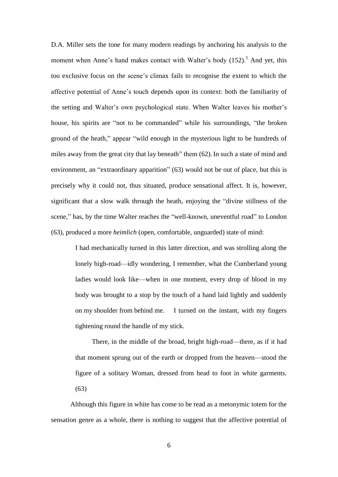D.A. Miller sets the tone for many modern readings by anchoring his analysis to the moment when Anne's hand makes contact with Walter's body  $(152)$ .<sup>5</sup> And yet, this too exclusive focus on the scene's climax fails to recognise the extent to which the affective potential of Anne's touch depends upon its context: both the familiarity of the setting and Walter's own psychological state. When Walter leaves his mother's house, his spirits are "not to be commanded" while his surroundings, "the broken ground of the heath," appear "wild enough in the mysterious light to be hundreds of miles away from the great city that lay beneath" them (62). In such a state of mind and environment, an "extraordinary apparition" (63) would not be out of place, but this is precisely why it could not, thus situated, produce sensational affect. It is, however, significant that a slow walk through the heath, enjoying the "divine stillness of the scene," has, by the time Walter reaches the "well-known, uneventful road" to London (63), produced a more *heimlich* (open, comfortable, unguarded) state of mind:

I had mechanically turned in this latter direction, and was strolling along the lonely high-road—idly wondering, I remember, what the Cumberland young ladies would look like—when in one moment, every drop of blood in my body was brought to a stop by the touch of a hand laid lightly and suddenly on my shoulder from behind me. I turned on the instant, with my fingers tightening round the handle of my stick.

There, in the middle of the broad, bright high-road—there, as if it had that moment sprung out of the earth or dropped from the heaven—stood the figure of a solitary Woman, dressed from head to foot in white garments. (63)

Although this figure in white has come to be read as a metonymic totem for the sensation genre as a whole, there is nothing to suggest that the affective potential of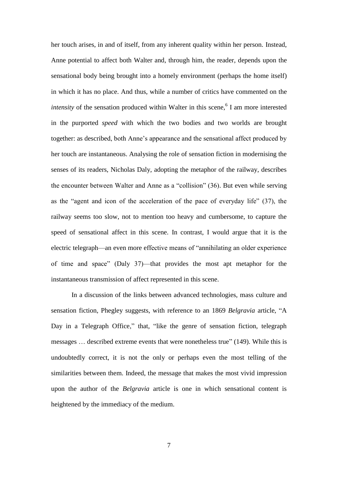her touch arises, in and of itself, from any inherent quality within her person. Instead, Anne potential to affect both Walter and, through him, the reader, depends upon the sensational body being brought into a homely environment (perhaps the home itself) in which it has no place. And thus, while a number of critics have commented on the *intensity* of the sensation produced within Walter in this scene, 6 I am more interested in the purported *speed* with which the two bodies and two worlds are brought together: as described, both Anne's appearance and the sensational affect produced by her touch are instantaneous. Analysing the role of sensation fiction in modernising the senses of its readers, Nicholas Daly, adopting the metaphor of the railway, describes the encounter between Walter and Anne as a "collision" (36). But even while serving as the "agent and icon of the acceleration of the pace of everyday life" (37), the railway seems too slow, not to mention too heavy and cumbersome, to capture the speed of sensational affect in this scene. In contrast, I would argue that it is the electric telegraph—an even more effective means of "annihilating an older experience of time and space" (Daly 37)—that provides the most apt metaphor for the instantaneous transmission of affect represented in this scene.

In a discussion of the links between advanced technologies, mass culture and sensation fiction, Phegley suggests, with reference to an 1869 *Belgravia* article, "A Day in a Telegraph Office," that, "like the genre of sensation fiction, telegraph messages … described extreme events that were nonetheless true" (149). While this is undoubtedly correct, it is not the only or perhaps even the most telling of the similarities between them. Indeed, the message that makes the most vivid impression upon the author of the *Belgravia* article is one in which sensational content is heightened by the immediacy of the medium.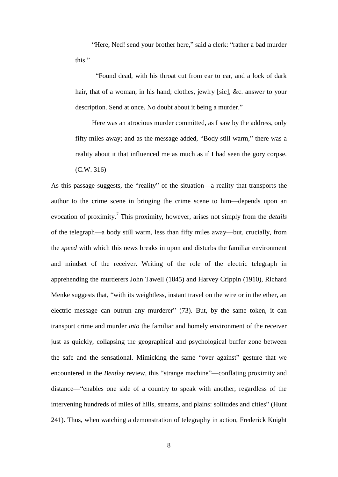"Here, Ned! send your brother here," said a clerk: "rather a bad murder this."

"Found dead, with his throat cut from ear to ear, and a lock of dark hair, that of a woman, in his hand; clothes, jewlry [sic], &c. answer to your description. Send at once. No doubt about it being a murder."

Here was an atrocious murder committed, as I saw by the address, only fifty miles away; and as the message added, "Body still warm," there was a reality about it that influenced me as much as if I had seen the gory corpse. (C.W. 316)

As this passage suggests, the "reality" of the situation—a reality that transports the author to the crime scene in bringing the crime scene to him—depends upon an evocation of proximity.<sup>7</sup> This proximity, however, arises not simply from the *details* of the telegraph—a body still warm, less than fifty miles away—but, crucially, from the *speed* with which this news breaks in upon and disturbs the familiar environment and mindset of the receiver. Writing of the role of the electric telegraph in apprehending the murderers John Tawell (1845) and Harvey Crippin (1910), Richard Menke suggests that, "with its weightless, instant travel on the wire or in the ether, an electric message can outrun any murderer" (73). But, by the same token, it can transport crime and murder *into* the familiar and homely environment of the receiver just as quickly, collapsing the geographical and psychological buffer zone between the safe and the sensational. Mimicking the same "over against" gesture that we encountered in the *Bentley* review, this "strange machine"—conflating proximity and distance—"enables one side of a country to speak with another, regardless of the intervening hundreds of miles of hills, streams, and plains: solitudes and cities" (Hunt 241). Thus, when watching a demonstration of telegraphy in action, Frederick Knight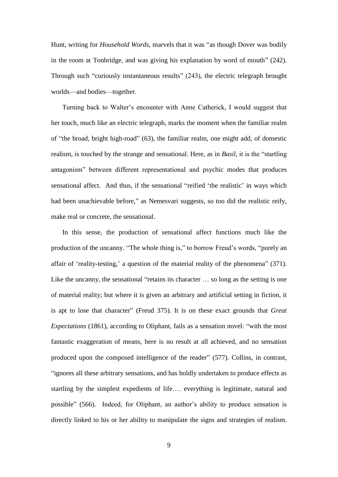Hunt, writing for *Household Words*, marvels that it was "as though Dover was bodily in the room at Tonbridge, and was giving his explanation by word of mouth" (242). Through such "curiously instantaneous results" (243), the electric telegraph brought worlds—and bodies—together.

Turning back to Walter's encounter with Anne Catherick, I would suggest that her touch, much like an electric telegraph, marks the moment when the familiar realm of "the broad, bright high-road" (63), the familiar realm, one might add, of domestic realism, is touched by the strange and sensational. Here, as in *Basil*, it is the "startling antagonism" between different representational and psychic modes that produces sensational affect. And thus, if the sensational "reified 'the realistic' in ways which had been unachievable before," as Nemesvari suggests, so too did the realistic reify, make real or concrete, the sensational.

In this sense, the production of sensational affect functions much like the production of the uncanny. "The whole thing is," to borrow Freud's words, "purely an affair of 'reality-testing,' a question of the material reality of the phenomena" (371). Like the uncanny, the sensational "retains its character ... so long as the setting is one of material reality; but where it is given an arbitrary and artificial setting in fiction, it is apt to lose that character" (Freud 375). It is on these exact grounds that *Great Expectations* (1861), according to Oliphant, fails as a sensation novel: "with the most fantastic exaggeration of means, here is no result at all achieved, and no sensation produced upon the composed intelligence of the reader" (577). Collins, in contrast, "ignores all these arbitrary sensations, and has boldly undertaken to produce effects as startling by the simplest expedients of life…. everything is legitimate, natural and possible" (566). Indeed, for Oliphant, an author's ability to produce sensation is directly linked to his or her ability to manipulate the signs and strategies of realism.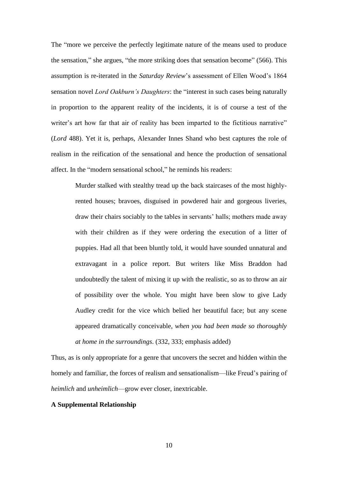The "more we perceive the perfectly legitimate nature of the means used to produce the sensation," she argues, "the more striking does that sensation become" (566). This assumption is re-iterated in the *Saturday Review*'s assessment of Ellen Wood's 1864 sensation novel *Lord Oakburn's Daughters*: the "interest in such cases being naturally in proportion to the apparent reality of the incidents, it is of course a test of the writer's art how far that air of reality has been imparted to the fictitious narrative" (*Lord* 488). Yet it is, perhaps, Alexander Innes Shand who best captures the role of realism in the reification of the sensational and hence the production of sensational affect. In the "modern sensational school," he reminds his readers:

Murder stalked with stealthy tread up the back staircases of the most highlyrented houses; bravoes, disguised in powdered hair and gorgeous liveries, draw their chairs sociably to the tables in servants' halls; mothers made away with their children as if they were ordering the execution of a litter of puppies. Had all that been bluntly told, it would have sounded unnatural and extravagant in a police report. But writers like Miss Braddon had undoubtedly the talent of mixing it up with the realistic, so as to throw an air of possibility over the whole. You might have been slow to give Lady Audley credit for the vice which belied her beautiful face; but any scene appeared dramatically conceivable, *when you had been made so thoroughly at home in the surroundings*. (332, 333; emphasis added)

Thus, as is only appropriate for a genre that uncovers the secret and hidden within the homely and familiar, the forces of realism and sensationalism—like Freud's pairing of *heimlich* and *unheimlich*—grow ever closer, inextricable.

#### **A Supplemental Relationship**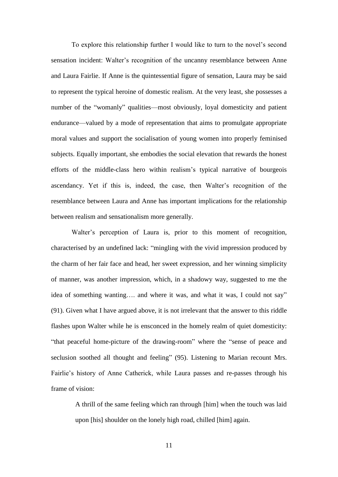To explore this relationship further I would like to turn to the novel's second sensation incident: Walter's recognition of the uncanny resemblance between Anne and Laura Fairlie. If Anne is the quintessential figure of sensation, Laura may be said to represent the typical heroine of domestic realism. At the very least, she possesses a number of the "womanly" qualities—most obviously, loyal domesticity and patient endurance—valued by a mode of representation that aims to promulgate appropriate moral values and support the socialisation of young women into properly feminised subjects. Equally important, she embodies the social elevation that rewards the honest efforts of the middle-class hero within realism's typical narrative of bourgeois ascendancy. Yet if this is, indeed, the case, then Walter's recognition of the resemblance between Laura and Anne has important implications for the relationship between realism and sensationalism more generally.

Walter's perception of Laura is, prior to this moment of recognition, characterised by an undefined lack: "mingling with the vivid impression produced by the charm of her fair face and head, her sweet expression, and her winning simplicity of manner, was another impression, which, in a shadowy way, suggested to me the idea of something wanting…. and where it was, and what it was, I could not say" (91). Given what I have argued above, it is not irrelevant that the answer to this riddle flashes upon Walter while he is ensconced in the homely realm of quiet domesticity: "that peaceful home-picture of the drawing-room" where the "sense of peace and seclusion soothed all thought and feeling" (95). Listening to Marian recount Mrs. Fairlie's history of Anne Catherick, while Laura passes and re-passes through his frame of vision:

A thrill of the same feeling which ran through [him] when the touch was laid upon [his] shoulder on the lonely high road, chilled [him] again.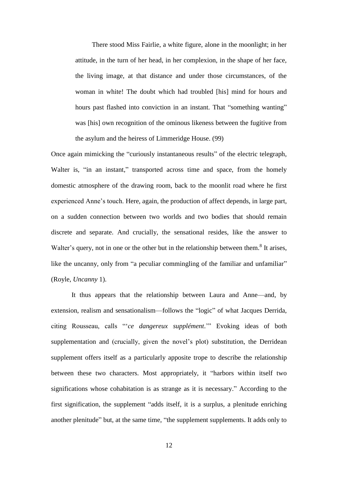There stood Miss Fairlie, a white figure, alone in the moonlight; in her attitude, in the turn of her head, in her complexion, in the shape of her face, the living image, at that distance and under those circumstances, of the woman in white! The doubt which had troubled [his] mind for hours and hours past flashed into conviction in an instant. That "something wanting" was [his] own recognition of the ominous likeness between the fugitive from the asylum and the heiress of Limmeridge House. (99)

Once again mimicking the "curiously instantaneous results" of the electric telegraph, Walter is, "in an instant," transported across time and space, from the homely domestic atmosphere of the drawing room, back to the moonlit road where he first experienced Anne's touch. Here, again, the production of affect depends, in large part, on a sudden connection between two worlds and two bodies that should remain discrete and separate. And crucially, the sensational resides, like the answer to Walter's query, not in one or the other but in the relationship between them. $8$  It arises, like the uncanny, only from "a peculiar commingling of the familiar and unfamiliar" (Royle, *Uncanny* 1).

It thus appears that the relationship between Laura and Anne—and, by extension, realism and sensationalism—follows the "logic" of what Jacques Derrida, citing Rousseau, calls "'*ce dangereux supplément*.'" Evoking ideas of both supplementation and (crucially, given the novel's plot) substitution, the Derridean supplement offers itself as a particularly apposite trope to describe the relationship between these two characters. Most appropriately, it "harbors within itself two significations whose cohabitation is as strange as it is necessary." According to the first signification, the supplement "adds itself, it is a surplus, a plenitude enriching another plenitude" but, at the same time, "the supplement supplements. It adds only to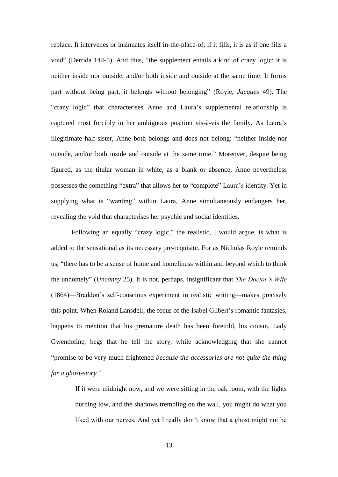replace. It intervenes or insinuates itself in-the-place-of; if it fills, it is as if one fills a void" (Derrida 144-5). And thus, "the supplement entails a kind of crazy logic: it is neither inside nor outside, and/or both inside and outside at the same time. It forms part without being part, it belongs without belonging" (Royle, *Jacques* 49). The "crazy logic" that characterises Anne and Laura's supplemental relationship is captured most forcibly in her ambiguous position vis-à-vis the family. As Laura's illegitimate half-sister, Anne both belongs and does not belong: "neither inside nor outside, and/or both inside and outside at the same time." Moreover, despite being figured, as the titular woman in white, as a blank or absence, Anne nevertheless possesses the something "extra" that allows her to "complete" Laura's identity. Yet in supplying what is "wanting" within Laura, Anne simultaneously endangers her, revealing the void that characterises her psychic and social identities.

Following an equally "crazy logic," the realistic, I would argue, is what is added to the sensational as its necessary pre-requisite. For as Nicholas Royle reminds us, "there has to be a sense of home and homeliness within and beyond which to think the unhomely" (*Uncanny* 25). It is not, perhaps, insignificant that *The Doctor's Wife* (1864)—Braddon's self-conscious experiment in realistic writing—makes precisely this point. When Roland Lansdell, the focus of the Isabel Gilbert's romantic fantasies, happens to mention that his premature death has been foretold, his cousin, Lady Gwendoline, begs that he tell the story, while acknowledging that she cannot "promise to be very much frightened *because the accessories are not quite the thing for a ghost-story*."

> If it were midnight now, and we were sitting in the oak room, with the lights burning low, and the shadows trembling on the wall, you might do what you liked with our nerves. And yet I really don't know that a ghost might not be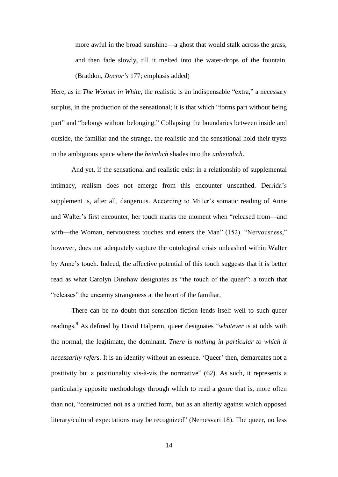more awful in the broad sunshine—a ghost that would stalk across the grass, and then fade slowly, till it melted into the water-drops of the fountain. (Braddon, *Doctor's* 177; emphasis added)

Here, as in *The Woman in White*, the realistic is an indispensable "extra," a necessary surplus, in the production of the sensational; it is that which "forms part without being part" and "belongs without belonging." Collapsing the boundaries between inside and outside, the familiar and the strange, the realistic and the sensational hold their trysts in the ambiguous space where the *heimlich* shades into the *unheimlich*.

And yet, if the sensational and realistic exist in a relationship of supplemental intimacy, realism does not emerge from this encounter unscathed. Derrida's supplement is, after all, dangerous. According to Miller's somatic reading of Anne and Walter's first encounter, her touch marks the moment when "released from—and with—the Woman, nervousness touches and enters the Man" (152). "Nervousness," however, does not adequately capture the ontological crisis unleashed within Walter by Anne's touch. Indeed, the affective potential of this touch suggests that it is better read as what Carolyn Dinshaw designates as "the touch of the queer": a touch that "releases" the uncanny strangeness at the heart of the familiar.

There can be no doubt that sensation fiction lends itself well to such queer readings.<sup>9</sup> As defined by David Halperin, queer designates "*whatever* is at odds with the normal, the legitimate, the dominant. *There is nothing in particular to which it necessarily refers*. It is an identity without an essence. 'Queer' then, demarcates not a positivity but a positionality vis-à-vis the normative" (62). As such, it represents a particularly apposite methodology through which to read a genre that is, more often than not, "constructed not as a unified form, but as an alterity against which opposed literary/cultural expectations may be recognized" (Nemesvari 18). The queer, no less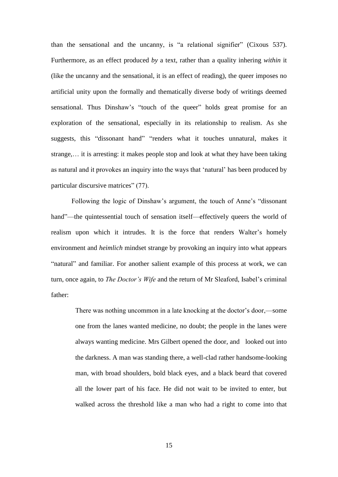than the sensational and the uncanny, is "a relational signifier" (Cixous 537). Furthermore, as an effect produced *by* a text, rather than a quality inhering *within* it (like the uncanny and the sensational, it is an effect of reading), the queer imposes no artificial unity upon the formally and thematically diverse body of writings deemed sensational. Thus Dinshaw's "touch of the queer" holds great promise for an exploration of the sensational, especially in its relationship to realism. As she suggests, this "dissonant hand" "renders what it touches unnatural, makes it strange,… it is arresting: it makes people stop and look at what they have been taking as natural and it provokes an inquiry into the ways that 'natural' has been produced by particular discursive matrices" (77).

Following the logic of Dinshaw's argument, the touch of Anne's "dissonant hand"—the quintessential touch of sensation itself—effectively queers the world of realism upon which it intrudes. It is the force that renders Walter's homely environment and *heimlich* mindset strange by provoking an inquiry into what appears "natural" and familiar. For another salient example of this process at work, we can turn, once again, to *The Doctor's Wife* and the return of Mr Sleaford, Isabel's criminal father:

There was nothing uncommon in a late knocking at the doctor's door,—some one from the lanes wanted medicine, no doubt; the people in the lanes were always wanting medicine. Mrs Gilbert opened the door, and looked out into the darkness. A man was standing there, a well-clad rather handsome-looking man, with broad shoulders, bold black eyes, and a black beard that covered all the lower part of his face. He did not wait to be invited to enter, but walked across the threshold like a man who had a right to come into that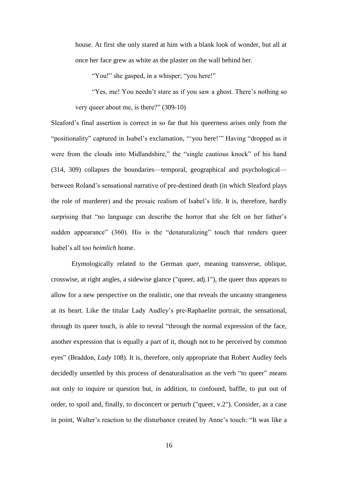house. At first she only stared at him with a blank look of wonder, but all at once her face grew as white as the plaster on the wall behind her.

"You!" she gasped, in a whisper; "you here!"

"Yes, me! You needn't stare as if you saw a ghost. There's nothing so very queer about me, is there?" (309-10)

Sleaford's final assertion is correct in so far that his queerness arises only from the "positionality" captured in Isabel's exclamation, "'you here!'" Having "dropped as it were from the clouds into Midlandshire," the "single cautious knock" of his hand (314, 309) collapses the boundaries—temporal, geographical and psychological between Roland's sensational narrative of pre-destined death (in which Sleaford plays the role of murderer) and the prosaic realism of Isabel's life. It is, therefore, hardly surprising that "no language can describe the horror that she felt on her father's sudden appearance" (360). His is the "denaturalizing" touch that renders queer Isabel's all too *heimlich* home.

Etymologically related to the German *quer*, meaning transverse, oblique, crosswise, at right angles, a sidewise glance ("queer, adj.1"), the queer thus appears to allow for a new perspective on the realistic, one that reveals the uncanny strangeness at its heart. Like the titular Lady Audley's pre-Raphaelite portrait, the sensational, through its queer touch, is able to reveal "through the normal expression of the face, another expression that is equally a part of it, though not to be perceived by common eyes" (Braddon, *Lady* 108). It is, therefore, only appropriate that Robert Audley feels decidedly unsettled by this process of denaturalisation as the verb "to queer" means not only to inquire or question but, in addition, to confound, baffle, to put out of order, to spoil and, finally, to disconcert or perturb ("queer, v.2"). Consider, as a case in point, Walter's reaction to the disturbance created by Anne's touch: "It was like a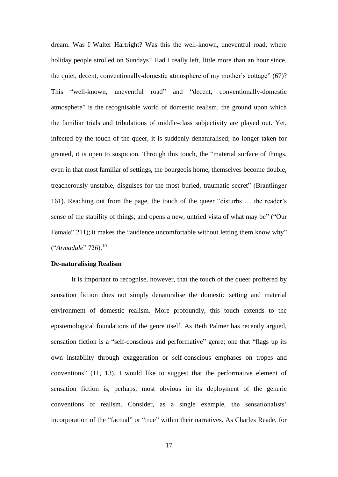dream. Was I Walter Hartright? Was this the well-known, uneventful road, where holiday people strolled on Sundays? Had I really left, little more than an hour since, the quiet, decent, conventionally-domestic atmosphere of my mother's cottage" (67)? This "well-known, uneventful road" and "decent, conventionally-domestic atmosphere" is the recognisable world of domestic realism, the ground upon which the familiar trials and tribulations of middle-class subjectivity are played out. Yet, infected by the touch of the queer, it is suddenly denaturalised; no longer taken for granted, it is open to suspicion. Through this touch, the "material surface of things, even in that most familiar of settings, the bourgeois home, themselves become double, treacherously unstable, disguises for the most buried, traumatic secret" (Brantlinger 161). Reaching out from the page, the touch of the queer "disturbs … the reader's sense of the stability of things, and opens a new, untried vista of what may be" ("Our Female" 211); it makes the "audience uncomfortable without letting them know why" ("*Armadale*" 726). 10

#### **De-naturalising Realism**

It is important to recognise, however, that the touch of the queer proffered by sensation fiction does not simply denaturalise the domestic setting and material environment of domestic realism. More profoundly, this touch extends to the epistemological foundations of the genre itself. As Beth Palmer has recently argued, sensation fiction is a "self-conscious and performative" genre; one that "flags up its own instability through exaggeration or self-conscious emphases on tropes and conventions" (11, 13). I would like to suggest that the performative element of sensation fiction is, perhaps, most obvious in its deployment of the generic conventions of realism. Consider, as a single example, the sensationalists' incorporation of the "factual" or "true" within their narratives. As Charles Reade, for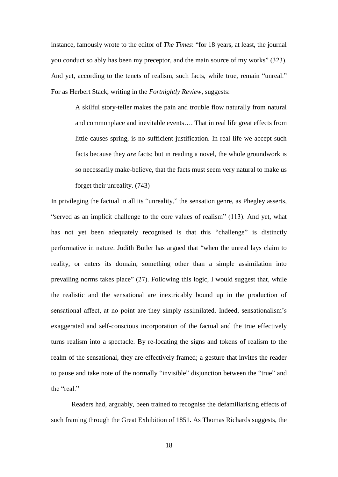instance, famously wrote to the editor of *The Times*: "for 18 years, at least, the journal you conduct so ably has been my preceptor, and the main source of my works" (323). And yet, according to the tenets of realism, such facts, while true, remain "unreal." For as Herbert Stack, writing in the *Fortnightly Review*, suggests:

> A skilful story-teller makes the pain and trouble flow naturally from natural and commonplace and inevitable events…. That in real life great effects from little causes spring, is no sufficient justification. In real life we accept such facts because they *are* facts; but in reading a novel, the whole groundwork is so necessarily make-believe, that the facts must seem very natural to make us forget their unreality. (743)

In privileging the factual in all its "unreality," the sensation genre, as Phegley asserts, "served as an implicit challenge to the core values of realism" (113). And yet, what has not yet been adequately recognised is that this "challenge" is distinctly performative in nature. Judith Butler has argued that "when the unreal lays claim to reality, or enters its domain, something other than a simple assimilation into prevailing norms takes place" (27). Following this logic, I would suggest that, while the realistic and the sensational are inextricably bound up in the production of sensational affect, at no point are they simply assimilated. Indeed, sensationalism's exaggerated and self-conscious incorporation of the factual and the true effectively turns realism into a spectacle. By re-locating the signs and tokens of realism to the realm of the sensational, they are effectively framed; a gesture that invites the reader to pause and take note of the normally "invisible" disjunction between the "true" and the "real"

Readers had, arguably, been trained to recognise the defamiliarising effects of such framing through the Great Exhibition of 1851. As Thomas Richards suggests, the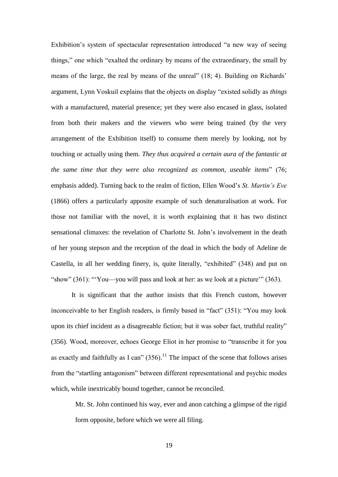Exhibition's system of spectacular representation introduced "a new way of seeing things," one which "exalted the ordinary by means of the extraordinary, the small by means of the large, the real by means of the unreal" (18; 4). Building on Richards' argument, Lynn Voskuil explains that the objects on display "existed solidly as *things* with a manufactured, material presence; yet they were also encased in glass, isolated from both their makers and the viewers who were being trained (by the very arrangement of the Exhibition itself) to consume them merely by looking, not by touching or actually using them. *They thus acquired a certain aura of the fantastic at the same time that they were also recognized as common, useable items*" (76; emphasis added). Turning back to the realm of fiction, Ellen Wood's *St. Martin's Eve* (1866) offers a particularly apposite example of such denaturalisation at work. For those not familiar with the novel, it is worth explaining that it has two distinct sensational climaxes: the revelation of Charlotte St. John's involvement in the death of her young stepson and the reception of the dead in which the body of Adeline de Castella, in all her wedding finery, is, quite literally, "exhibited" (348) and put on "show" (361): "'You—you will pass and look at her: as we look at a picture'" (363).

It is significant that the author insists that this French custom, however inconceivable to her English readers, is firmly based in "fact" (351): "You may look upon its chief incident as a disagreeable fiction; but it was sober fact, truthful reality" (356). Wood, moreover, echoes George Eliot in her promise to "transcribe it for you as exactly and faithfully as I can"  $(356)$ .<sup>11</sup> The impact of the scene that follows arises from the "startling antagonism" between different representational and psychic modes which, while inextricably bound together, cannot be reconciled.

Mr. St. John continued his way, ever and anon catching a glimpse of the rigid form opposite, before which we were all filing.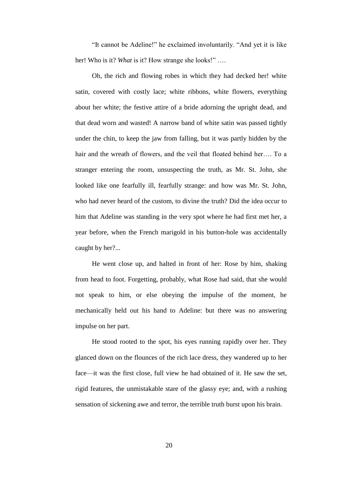"It cannot be Adeline!" he exclaimed involuntarily. "And yet it is like her! Who is it? *What* is it? How strange she looks!" ….

Oh, the rich and flowing robes in which they had decked her! white satin, covered with costly lace; white ribbons, white flowers, everything about her white; the festive attire of a bride adorning the upright dead, and that dead worn and wasted! A narrow band of white satin was passed tightly under the chin, to keep the jaw from falling, but it was partly hidden by the hair and the wreath of flowers, and the veil that floated behind her…. To a stranger entering the room, unsuspecting the truth, as Mr. St. John, she looked like one fearfully ill, fearfully strange: and how was Mr. St. John, who had never heard of the custom, to divine the truth? Did the idea occur to him that Adeline was standing in the very spot where he had first met her, a year before, when the French marigold in his button-hole was accidentally caught by her?...

He went close up, and halted in front of her: Rose by him, shaking from head to foot. Forgetting, probably, what Rose had said, that she would not speak to him, or else obeying the impulse of the moment, he mechanically held out his hand to Adeline: but there was no answering impulse on her part.

He stood rooted to the spot, his eyes running rapidly over her. They glanced down on the flounces of the rich lace dress, they wandered up to her face—it was the first close, full view he had obtained of it. He saw the set, rigid features, the unmistakable stare of the glassy eye; and, with a rushing sensation of sickening awe and terror, the terrible truth burst upon his brain.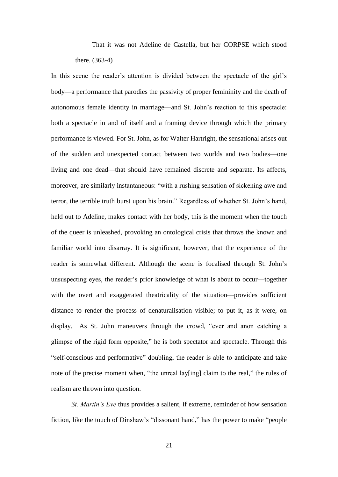That it was not Adeline de Castella, but her CORPSE which stood there. (363-4)

In this scene the reader's attention is divided between the spectacle of the girl's body—a performance that parodies the passivity of proper femininity and the death of autonomous female identity in marriage—and St. John's reaction to this spectacle: both a spectacle in and of itself and a framing device through which the primary performance is viewed. For St. John, as for Walter Hartright, the sensational arises out of the sudden and unexpected contact between two worlds and two bodies—one living and one dead—that should have remained discrete and separate. Its affects, moreover, are similarly instantaneous: "with a rushing sensation of sickening awe and terror, the terrible truth burst upon his brain." Regardless of whether St. John's hand, held out to Adeline, makes contact with her body, this is the moment when the touch of the queer is unleashed, provoking an ontological crisis that throws the known and familiar world into disarray. It is significant, however, that the experience of the reader is somewhat different. Although the scene is focalised through St. John's unsuspecting eyes, the reader's prior knowledge of what is about to occur—together with the overt and exaggerated theatricality of the situation—provides sufficient distance to render the process of denaturalisation visible; to put it, as it were, on display. As St. John maneuvers through the crowd, "ever and anon catching a glimpse of the rigid form opposite," he is both spectator and spectacle. Through this "self-conscious and performative" doubling, the reader is able to anticipate and take note of the precise moment when, "the unreal lay[ing] claim to the real," the rules of realism are thrown into question.

*St. Martin's Eve* thus provides a salient, if extreme, reminder of how sensation fiction, like the touch of Dinshaw's "dissonant hand," has the power to make "people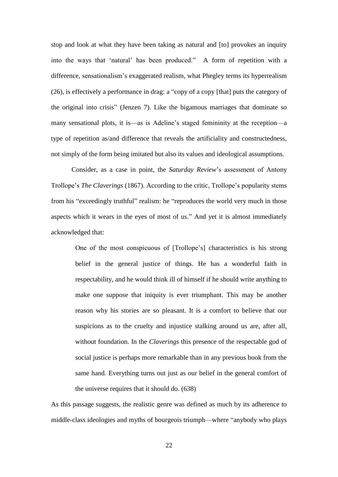stop and look at what they have been taking as natural and [to] provokes an inquiry into the ways that 'natural' has been produced." A form of repetition with a difference, sensationalism's exaggerated realism, what Phegley terms its hyperrealism (26), is effectively a performance in drag: a "copy of a copy [that] puts the category of the original into crisis" (Jenzen 7). Like the bigamous marriages that dominate so many sensational plots, it is—as is Adeline's staged femininity at the reception—a type of repetition as/and difference that reveals the artificiality and constructedness, not simply of the form being imitated but also its values and ideological assumptions.

Consider, as a case in point, the *Saturday Review*'s assessment of Antony Trollope's *The Claverings* (1867). According to the critic, Trollope's popularity stems from his "exceedingly truthful" realism: he "reproduces the world very much in those aspects which it wears in the eyes of most of us." And yet it is almost immediately acknowledged that:

One of the most conspicuous of [Trollope's] characteristics is his strong belief in the general justice of things. He has a wonderful faith in respectability, and he would think ill of himself if he should write anything to make one suppose that iniquity is ever triumphant. This may be another reason why his stories are so pleasant. It is a comfort to believe that our suspicions as to the cruelty and injustice stalking around us are, after all, without foundation. In the *Claverings* this presence of the respectable god of social justice is perhaps more remarkable than in any previous book from the same hand. Everything turns out just as our belief in the general comfort of the universe requires that it should do. (638)

As this passage suggests, the realistic genre was defined as much by its adherence to middle-class ideologies and myths of bourgeois triumph—where "anybody who plays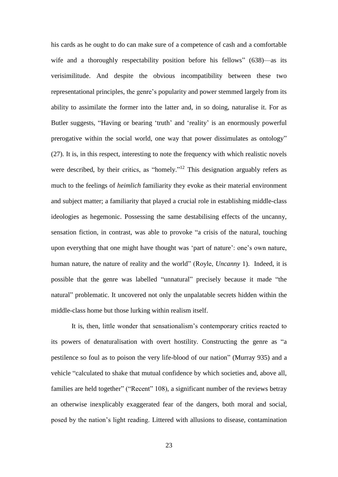his cards as he ought to do can make sure of a competence of cash and a comfortable wife and a thoroughly respectability position before his fellows" (638)—as its verisimilitude. And despite the obvious incompatibility between these two representational principles, the genre's popularity and power stemmed largely from its ability to assimilate the former into the latter and, in so doing, naturalise it. For as Butler suggests, "Having or bearing 'truth' and 'reality' is an enormously powerful prerogative within the social world, one way that power dissimulates as ontology" (27). It is, in this respect, interesting to note the frequency with which realistic novels were described, by their critics, as "homely."<sup>12</sup> This designation arguably refers as much to the feelings of *heimlich* familiarity they evoke as their material environment and subject matter; a familiarity that played a crucial role in establishing middle-class ideologies as hegemonic. Possessing the same destabilising effects of the uncanny, sensation fiction, in contrast, was able to provoke "a crisis of the natural, touching upon everything that one might have thought was 'part of nature': one's own nature, human nature, the nature of reality and the world" (Royle, *Uncanny* 1). Indeed, it is possible that the genre was labelled "unnatural" precisely because it made "the natural" problematic. It uncovered not only the unpalatable secrets hidden within the middle-class home but those lurking within realism itself.

It is, then, little wonder that sensationalism's contemporary critics reacted to its powers of denaturalisation with overt hostility. Constructing the genre as "a pestilence so foul as to poison the very life-blood of our nation" (Murray 935) and a vehicle "calculated to shake that mutual confidence by which societies and, above all, families are held together" ("Recent" 108), a significant number of the reviews betray an otherwise inexplicably exaggerated fear of the dangers, both moral and social, posed by the nation's light reading. Littered with allusions to disease, contamination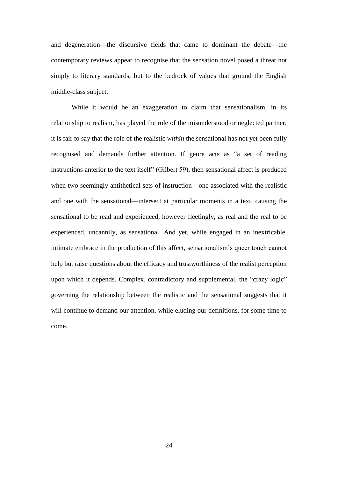and degeneration—the discursive fields that came to dominant the debate—the contemporary reviews appear to recognise that the sensation novel posed a threat not simply to literary standards, but to the bedrock of values that ground the English middle-class subject.

While it would be an exaggeration to claim that sensationalism, in its relationship to realism, has played the role of the misunderstood or neglected partner, it is fair to say that the role of the realistic *within* the sensational has not yet been fully recognised and demands further attention. If genre acts as "a set of reading instructions anterior to the text itself" (Gilbert 59), then sensational affect is produced when two seemingly antithetical sets of instruction—one associated with the realistic and one with the sensational—intersect at particular moments in a text, causing the sensational to be read and experienced, however fleetingly, as real and the real to be experienced, uncannily, as sensational. And yet, while engaged in an inextricable, intimate embrace in the production of this affect, sensationalism's queer touch cannot help but raise questions about the efficacy and trustworthiness of the realist perception upon which it depends. Complex, contradictory and supplemental, the "crazy logic" governing the relationship between the realistic and the sensational suggests that it will continue to demand our attention, while eluding our definitions, for some time to come.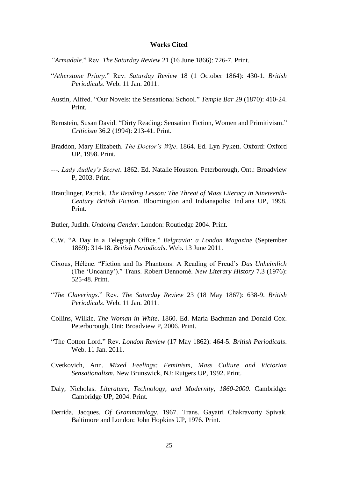#### **Works Cited**

*"Armadale*." Rev. *The Saturday Review* 21 (16 June 1866): 726-7. Print.

- "*Atherstone Priory*." Rev. *Saturday Review* 18 (1 October 1864): 430-1. *British Periodicals*. Web. 11 Jan. 2011.
- Austin, Alfred. "Our Novels: the Sensational School." *Temple Bar* 29 (1870): 410-24. Print.
- Bernstein, Susan David. "Dirty Reading: Sensation Fiction, Women and Primitivism." *Criticism* 36.2 (1994): 213-41. Print.
- Braddon, Mary Elizabeth. *The Doctor's Wife*. 1864. Ed. Lyn Pykett. Oxford: Oxford UP, 1998. Print.
- ---. *Lady Audley's Secret*. 1862. Ed. Natalie Houston. Peterborough, Ont.: Broadview P, 2003. Print.
- Brantlinger, Patrick. *The Reading Lesson: The Threat of Mass Literacy in Nineteenth-Century British Fiction*. Bloomington and Indianapolis: Indiana UP, 1998. Print.
- Butler, Judith. *Undoing Gender*. London: Routledge 2004. Print.
- C.W. "A Day in a Telegraph Office." *Belgravia: a London Magazine* (September 1869): 314-18. *British Periodicals*. Web. 13 June 2011.
- Cixous, Hélène. "Fiction and Its Phantoms: A Reading of Freud's *Das Unheimlich* (The 'Uncanny')." Trans. Robert Dennomé. *New Literary History* 7.3 (1976): 525-48. Print.
- "*The Claverings*." Rev. *The Saturday Review* 23 (18 May 1867): 638-9. *British Periodicals*. Web. 11 Jan. 2011.
- Collins, Wilkie. *The Woman in White*. 1860. Ed. Maria Bachman and Donald Cox. Peterborough, Ont: Broadview P, 2006. Print.
- "The Cotton Lord." Rev. *London Review* (17 May 1862): 464-5. *British Periodicals*. Web. 11 Jan. 2011.
- Cvetkovich, Ann. *Mixed Feelings: Feminism, Mass Culture and Victorian Sensationalism*. New Brunswick, NJ: Rutgers UP, 1992. Print.
- Daly, Nicholas. *Literature, Technology, and Modernity, 1860-2000*. Cambridge: Cambridge UP, 2004. Print.
- Derrida, Jacques. *Of Grammatology*. 1967. Trans. Gayatri Chakravorty Spivak. Baltimore and London: John Hopkins UP, 1976. Print.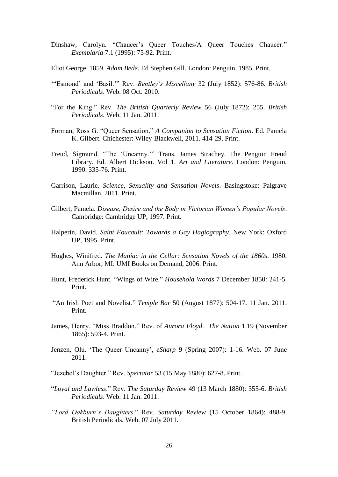- Dinshaw, Carolyn. "Chaucer's Queer Touches/A Queer Touches Chaucer." *Exemplaria* 7.1 (1995): 75-92. Print.
- Eliot George. 1859. *Adam Bede*. Ed Stephen Gill. London: Penguin, 1985. Print.
- '"Esmond' and 'Basil.'" Rev. *Bentley's Miscellany* 32 (July 1852): 576-86. *British Periodicals*. Web. 08 Oct. 2010.
- "For the King." Rev. *The British Quarterly Review* 56 (July 1872): 255. *British Periodicals*. Web. 11 Jan. 2011.
- Forman, Ross G. "Queer Sensation." *A Companion to Sensation Fiction*. Ed. Pamela K. Gilbert. Chichester: Wiley-Blackwell, 2011. 414-29. Print.
- Freud, Sigmund. "The 'Uncanny.'" Trans. James Strachey. The Penguin Freud Library. Ed. Albert Dickson. Vol 1. *Art and Literature*. London: Penguin, 1990. 335-76. Print.
- Garrison, Laurie. *Science, Sexuality and Sensation Novels*. Basingstoke: Palgrave Macmillan, 2011. Print.
- Gilbert, Pamela. *Disease, Desire and the Body in Victorian Women's Popular Novels*. Cambridge: Cambridge UP, 1997. Print.
- Halperin, David. *Saint Foucault: Towards a Gay Hagiography*. New York: Oxford UP, 1995. Print.
- Hughes, Winifred. *The Maniac in the Cellar: Sensation Novels of the 1860s*. 1980. Ann Arbor, MI: UMI Books on Demand, 2006. Print.
- Hunt, Frederick Hunt. "Wings of Wire." *Household Words* 7 December 1850: 241-5. Print.
- "An Irish Poet and Novelist." *Temple Bar* 50 (August 1877): 504-17. 11 Jan. 2011. Print.
- James, Henry. "Miss Braddon." Rev. of *Aurora Floyd*. *The Nation* 1.19 (November 1865): 593-4. Print.
- Jenzen, Olu. 'The Queer Uncanny', *eSharp* 9 (Spring 2007): 1-16. Web. 07 June 2011.

"Jezebel's Daughter." Rev. *Spectator* 53 (15 May 1880): 627-8. Print.

- "*Loyal and Lawless*." Rev. *The Saturday Review* 49 (13 March 1880): 355-6. *British Periodicals*. Web. 11 Jan. 2011.
- *"Lord Oakburn's Daughters*." Rev. *Saturday Review* (15 October 1864): 488-9. British Periodicals. Web. 07 July 2011.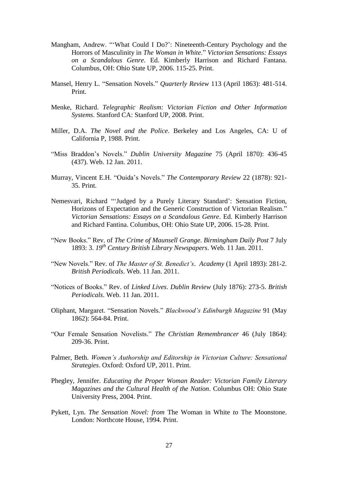- Mangham, Andrew. "'What Could I Do?': Nineteenth-Century Psychology and the Horrors of Masculinity in *The Woman in White*." *Victorian Sensations: Essays on a Scandalous Genre*. Ed. Kimberly Harrison and Richard Fantana. Columbus, OH: Ohio State UP, 2006. 115-25. Print.
- Mansel, Henry L. "Sensation Novels." *Quarterly Review* 113 (April 1863): 481-514. Print.
- Menke, Richard. *Telegraphic Realism: Victorian Fiction and Other Information Systems*. Stanford CA: Stanford UP, 2008. Print.
- Miller, D.A. *The Novel and the Police*. Berkeley and Los Angeles, CA: U of California P, 1988. Print.
- "Miss Braddon's Novels." *Dublin University Magazine* 75 (April 1870): 436-45 (437). Web. 12 Jan. 2011.
- Murray, Vincent E.H. "Ouida's Novels." *The Contemporary Review* 22 (1878): 921- 35. Print.
- Nemesvari, Richard "'Judged by a Purely Literary Standard': Sensation Fiction, Horizons of Expectation and the Generic Construction of Victorian Realism." *Victorian Sensations: Essays on a Scandalous Genre*. Ed. Kimberly Harrison and Richard Fantina. Columbus, OH: Ohio State UP, 2006. 15-28. Print.
- "New Books." Rev. of *The Crime of Maunsell Grange*. *Birmingham Daily Post* 7 July 1893: 3. *19th Century British Library Newspapers*. Web. 11 Jan. 2011.
- "New Novels." Rev. of *The Master of St. Benedict's*. *Academy* (1 April 1893): 281-2. *British Periodicals*. Web. 11 Jan. 2011.
- "Notices of Books." Rev. of *Linked Lives*. *Dublin Review* (July 1876): 273-5. *British Periodicals*. Web. 11 Jan. 2011.
- Oliphant, Margaret. "Sensation Novels." *Blackwood's Edinburgh Magazine* 91 (May 1862): 564-84. Print.
- "Our Female Sensation Novelists." *The Christian Remembrancer* 46 (July 1864): 209-36. Print.
- Palmer, Beth. *Women's Authorship and Editorship in Victorian Culture: Sensational Strategies*. Oxford: Oxford UP, 2011. Print.
- Phegley, Jennifer. *Educating the Proper Woman Reader: Victorian Family Literary Magazines and the Cultural Health of the Nation*. Columbus OH: Ohio State University Press, 2004. Print.
- Pykett, Lyn. *The Sensation Novel: from* The Woman in White *to* The Moonstone. London: Northcote House, 1994. Print.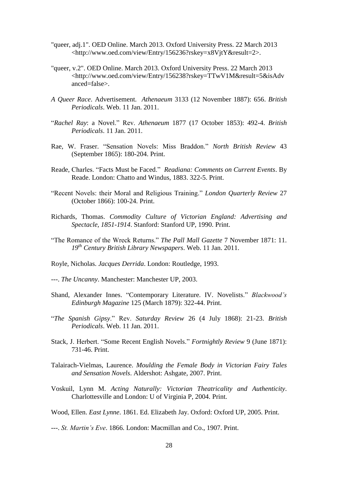- "queer, adj.1". OED Online. March 2013. Oxford University Press. 22 March 2013 <http://www.oed.com/view/Entry/156236?rskey=x8VjtY&result=2>.
- "queer, v.2". OED Online. March 2013. Oxford University Press. 22 March 2013 <http://www.oed.com/view/Entry/156238?rskey=TTwV1M&result=5&isAdv anced=false>.
- *A Queer Race*. Advertisement. *Athenaeum* 3133 (12 November 1887): 656. *British Periodicals*. Web. 11 Jan. 2011.
- "*Rachel Ray*: a Novel." Rev. *Athenaeum* 1877 (17 October 1853): 492-4. *British Periodicals*. 11 Jan. 2011.
- Rae, W. Fraser. "Sensation Novels: Miss Braddon." *North British Review* 43 (September 1865): 180-204. Print.
- Reade, Charles. "Facts Must be Faced." *Readiana: Comments on Current Events*. By Reade. London: Chatto and Windus, 1883. 322-5. Print.
- "Recent Novels: their Moral and Religious Training." *London Quarterly Review* 27 (October 1866): 100-24. Print.
- Richards, Thomas. *Commodity Culture of Victorian England: Advertising and Spectacle, 1851-1914*. Stanford: Stanford UP, 1990. Print.
- "The Romance of the Wreck Returns." *The Pall Mall Gazette* 7 November 1871: 11. *19th Century British Library Newspapers*. Web. 11 Jan. 2011.
- Royle, Nicholas. *Jacques Derrida*. London: Routledge, 1993.
- ---. *The Uncanny*. Manchester: Manchester UP, 2003.
- Shand, Alexander Innes. "Contemporary Literature. IV. Novelists." *Blackwood's Edinburgh Magazine* 125 (March 1879): 322-44. Print.
- "*The Spanish Gipsy*." Rev. *Saturday Review* 26 (4 July 1868): 21-23. *British Periodicals*. Web. 11 Jan. 2011.
- Stack, J. Herbert. "Some Recent English Novels." *Fortnightly Review* 9 (June 1871): 731-46. Print.
- Talairach-Vielmas, Laurence. *Moulding the Female Body in Victorian Fairy Tales and Sensation Novels*. Aldershot: Ashgate, 2007. Print.
- Voskuil, Lynn M. *Acting Naturally: Victorian Theatricality and Authenticity*. Charlottesville and London: U of Virginia P, 2004. Print.

Wood, Ellen. *East Lynne*. 1861. Ed. Elizabeth Jay. Oxford: Oxford UP, 2005. Print.

---. *St. Martin's Eve*. 1866. London: Macmillan and Co., 1907. Print.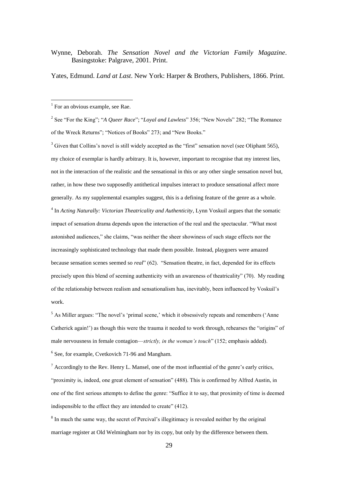#### Wynne, Deborah. *The Sensation Novel and the Victorian Family Magazine*. Basingstoke: Palgrave, 2001. Print.

Yates, Edmund. *Land at Last*. New York: Harper & Brothers, Publishers, 1866. Print.

<u>.</u>

<sup>3</sup> Given that Collins's novel is still widely accepted as the "first" sensation novel (see Oliphant 565), my choice of exemplar is hardly arbitrary. It is, however, important to recognise that my interest lies, not in the interaction of the realistic and the sensational in this or any other single sensation novel but, rather, in how these two supposedly antithetical impulses interact to produce sensational affect more generally. As my supplemental examples suggest, this is a defining feature of the genre as a whole. 4 In *Acting Naturally: Victorian Theatricality and Authenticity*, Lynn Voskuil argues that the somatic impact of sensation drama depends upon the interaction of the real and the spectacular. "What most astonished audiences," she claims, "was neither the sheer showiness of such stage effects nor the increasingly sophisticated technology that made them possible. Instead, playgoers were amazed because sensation scenes seemed so *real*" (62). "Sensation theatre, in fact, depended for its effects precisely upon this blend of seeming authenticity with an awareness of theatricality" (70). My reading of the relationship between realism and sensationalism has, inevitably, been influenced by Voskuil's work.

<sup>5</sup> As Miller argues: "The novel's 'primal scene,' which it obsessively repeats and remembers ('Anne Catherick again!') as though this were the trauma it needed to work through, rehearses the "origins" of male nervousness in female contagion—*strictly, in the woman's touch*" (152; emphasis added). <sup>6</sup> See, for example, Cvetkovich 71-96 and Mangham.

 $^7$  Accordingly to the Rev. Henry L. Mansel, one of the most influential of the genre's early critics, "proximity is, indeed, one great element of sensation" (488). This is confirmed by Alfred Austin, in one of the first serious attempts to define the genre: "Suffice it to say, that proximity of time is deemed indispensible to the effect they are intended to create" (412).

<sup>8</sup> In much the same way, the secret of Percival's illegitimacy is revealed neither by the original marriage register at Old Welmingham nor by its copy, but only by the difference between them.

<sup>&</sup>lt;sup>1</sup> For an obvious example, see Rae.

<sup>2</sup> See "For the King"; "*A Queer Race*"; "*Loyal and Lawless*" 356; "New Novels" 282; "The Romance of the Wreck Returns"; "Notices of Books" 273; and "New Books."